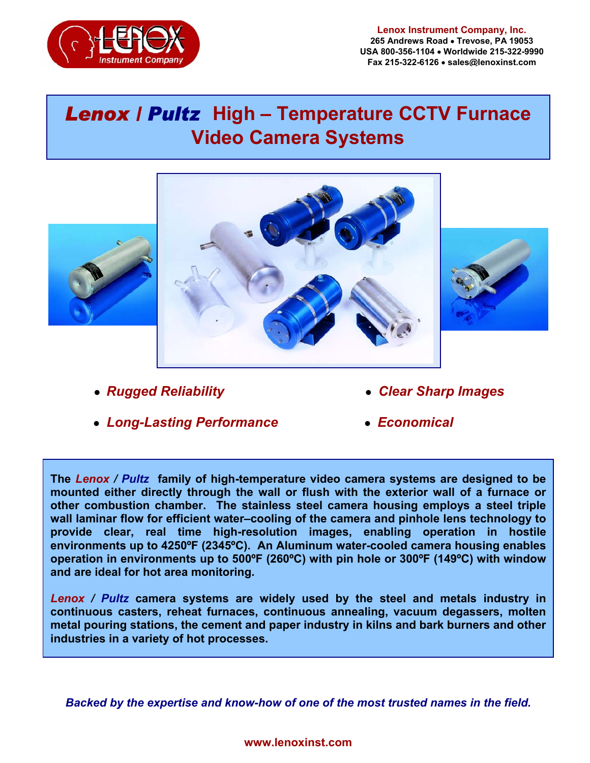

#### **Lenox Instrument Company, Inc. 265 Andrews Road** • **Trevose, PA 19053 USA 800-356-1104** • **Worldwide 215-322-9990 Fax 215-322-6126** • **sales@lenoxinst.com**

# *Lenox / Pultz* **High – Temperature CCTV Furnace Video Camera Systems**



I

 $\overline{a}$ 





- 
- **●** *Rugged Reliability ● Clear Sharp Images*
- *● Long-Lasting Performance ● Economical*
- 

**The** *Lenox / Pultz* **family of high-temperature video camera systems are designed to be mounted either directly through the wall or flush with the exterior wall of a furnace or other combustion chamber. The stainless steel camera housing employs a steel triple wall laminar flow for efficient water–cooling of the camera and pinhole lens technology to provide clear, real time high-resolution images, enabling operation in hostile environments up to 4250ºF (2345ºC). An Aluminum water-cooled camera housing enables operation in environments up to 500ºF (260ºC) with pin hole or 300ºF (149ºC) with window and are ideal for hot area monitoring.** 

*Lenox / Pultz* **camera systems are widely used by the steel and metals industry in continuous casters, reheat furnaces, continuous annealing, vacuum degassers, molten metal pouring stations, the cement and paper industry in kilns and bark burners and other industries in a variety of hot processes.** 

*Backed by the expertise and know-how of one of the most trusted names in the field.*